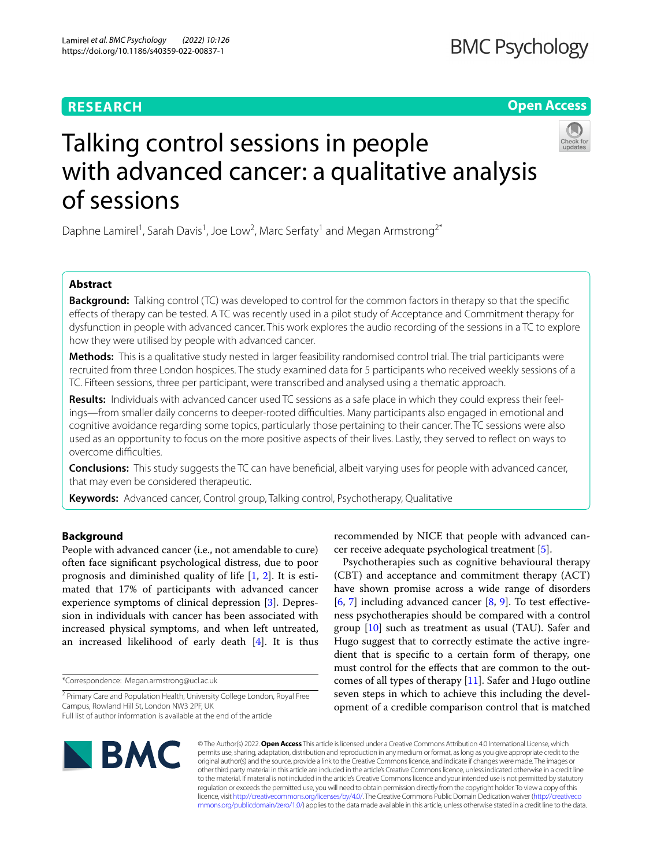# **RESEARCH**

**Open Access**

# Talking control sessions in people with advanced cancer: a qualitative analysis of sessions

Daphne Lamirel<sup>1</sup>, Sarah Davis<sup>1</sup>, Joe Low<sup>2</sup>, Marc Serfaty<sup>1</sup> and Megan Armstrong<sup>2\*</sup>

# **Abstract**

**Background:** Talking control (TC) was developed to control for the common factors in therapy so that the specifc efects of therapy can be tested. A TC was recently used in a pilot study of Acceptance and Commitment therapy for dysfunction in people with advanced cancer. This work explores the audio recording of the sessions in a TC to explore how they were utilised by people with advanced cancer.

**Methods:** This is a qualitative study nested in larger feasibility randomised control trial. The trial participants were recruited from three London hospices. The study examined data for 5 participants who received weekly sessions of a TC. Fifteen sessions, three per participant, were transcribed and analysed using a thematic approach.

**Results:** Individuals with advanced cancer used TC sessions as a safe place in which they could express their feelings—from smaller daily concerns to deeper-rooted difculties. Many participants also engaged in emotional and cognitive avoidance regarding some topics, particularly those pertaining to their cancer. The TC sessions were also used as an opportunity to focus on the more positive aspects of their lives. Lastly, they served to refect on ways to overcome difficulties.

**Conclusions:** This study suggests the TC can have benefcial, albeit varying uses for people with advanced cancer, that may even be considered therapeutic.

**Keywords:** Advanced cancer, Control group, Talking control, Psychotherapy, Qualitative

# **Background**

People with advanced cancer (i.e., not amendable to cure) often face signifcant psychological distress, due to poor prognosis and diminished quality of life  $[1, 2]$  $[1, 2]$  $[1, 2]$ . It is estimated that 17% of participants with advanced cancer experience symptoms of clinical depression [\[3](#page-7-2)]. Depression in individuals with cancer has been associated with increased physical symptoms, and when left untreated, an increased likelihood of early death [\[4](#page-7-3)]. It is thus

\*Correspondence: Megan.armstrong@ucl.ac.uk

recommended by NICE that people with advanced cancer receive adequate psychological treatment [\[5](#page-7-4)].

Psychotherapies such as cognitive behavioural therapy (CBT) and acceptance and commitment therapy (ACT) have shown promise across a wide range of disorders  $[6, 7]$  $[6, 7]$  $[6, 7]$  $[6, 7]$  $[6, 7]$  including advanced cancer  $[8, 9]$  $[8, 9]$  $[8, 9]$  $[8, 9]$ . To test effectiveness psychotherapies should be compared with a control group [[10](#page-7-9)] such as treatment as usual (TAU). Safer and Hugo suggest that to correctly estimate the active ingredient that is specifc to a certain form of therapy, one must control for the efects that are common to the outcomes of all types of therapy [[11](#page-7-10)]. Safer and Hugo outline seven steps in which to achieve this including the development of a credible comparison control that is matched



© The Author(s) 2022. **Open Access** This article is licensed under a Creative Commons Attribution 4.0 International License, which permits use, sharing, adaptation, distribution and reproduction in any medium or format, as long as you give appropriate credit to the original author(s) and the source, provide a link to the Creative Commons licence, and indicate if changes were made. The images or other third party material in this article are included in the article's Creative Commons licence, unless indicated otherwise in a credit line to the material. If material is not included in the article's Creative Commons licence and your intended use is not permitted by statutory regulation or exceeds the permitted use, you will need to obtain permission directly from the copyright holder. To view a copy of this licence, visit [http://creativecommons.org/licenses/by/4.0/.](http://creativecommons.org/licenses/by/4.0/) The Creative Commons Public Domain Dedication waiver ([http://creativeco](http://creativecommons.org/publicdomain/zero/1.0/) [mmons.org/publicdomain/zero/1.0/](http://creativecommons.org/publicdomain/zero/1.0/)) applies to the data made available in this article, unless otherwise stated in a credit line to the data.

<sup>&</sup>lt;sup>2</sup> Primary Care and Population Health, University College London, Royal Free Campus, Rowland Hill St, London NW3 2PF, UK Full list of author information is available at the end of the article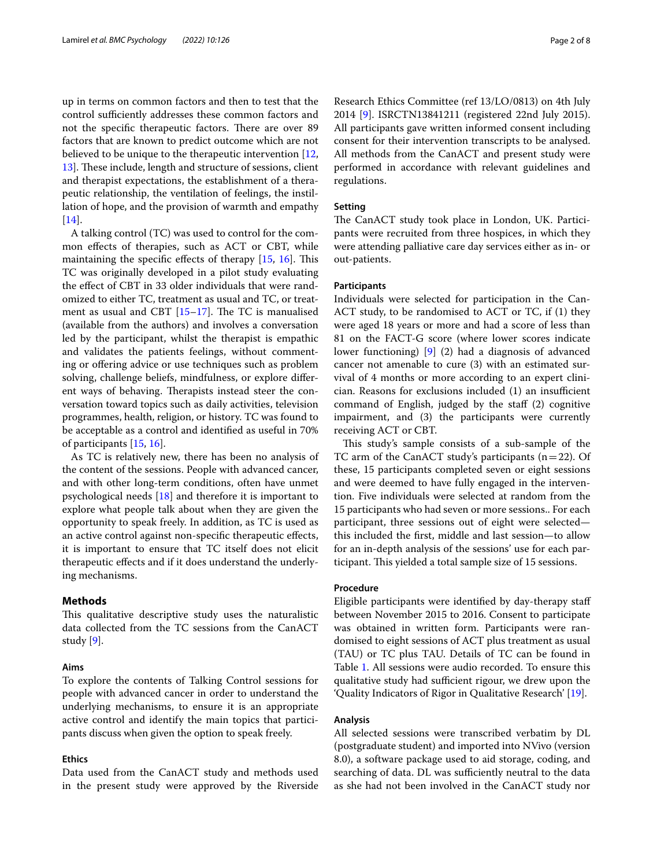up in terms on common factors and then to test that the control sufficiently addresses these common factors and not the specific therapeutic factors. There are over 89 factors that are known to predict outcome which are not believed to be unique to the therapeutic intervention [\[12](#page-7-11), [13\]](#page-7-12). These include, length and structure of sessions, client and therapist expectations, the establishment of a therapeutic relationship, the ventilation of feelings, the instillation of hope, and the provision of warmth and empathy [[14\]](#page-7-13).

A talking control (TC) was used to control for the common efects of therapies, such as ACT or CBT, while maintaining the specific effects of therapy  $[15, 16]$  $[15, 16]$  $[15, 16]$  $[15, 16]$  $[15, 16]$ . This TC was originally developed in a pilot study evaluating the effect of CBT in 33 older individuals that were randomized to either TC, treatment as usual and TC, or treatment as usual and CBT  $[15-17]$  $[15-17]$  $[15-17]$ . The TC is manualised (available from the authors) and involves a conversation led by the participant, whilst the therapist is empathic and validates the patients feelings, without commenting or offering advice or use techniques such as problem solving, challenge beliefs, mindfulness, or explore diferent ways of behaving. Therapists instead steer the conversation toward topics such as daily activities, television programmes, health, religion, or history. TC was found to be acceptable as a control and identifed as useful in 70% of participants [[15](#page-7-14), [16\]](#page-7-15).

As TC is relatively new, there has been no analysis of the content of the sessions. People with advanced cancer, and with other long-term conditions, often have unmet psychological needs [[18\]](#page-7-17) and therefore it is important to explore what people talk about when they are given the opportunity to speak freely. In addition, as TC is used as an active control against non-specifc therapeutic efects, it is important to ensure that TC itself does not elicit therapeutic efects and if it does understand the underlying mechanisms.

#### **Methods**

This qualitative descriptive study uses the naturalistic data collected from the TC sessions from the CanACT study [\[9](#page-7-8)].

#### **Aims**

To explore the contents of Talking Control sessions for people with advanced cancer in order to understand the underlying mechanisms, to ensure it is an appropriate active control and identify the main topics that participants discuss when given the option to speak freely.

#### **Ethics**

Data used from the CanACT study and methods used in the present study were approved by the Riverside

Research Ethics Committee (ref 13/LO/0813) on 4th July 2014 [\[9](#page-7-8)]. ISRCTN13841211 (registered 22nd July 2015). All participants gave written informed consent including consent for their intervention transcripts to be analysed. All methods from the CanACT and present study were performed in accordance with relevant guidelines and regulations.

#### **Setting**

The CanACT study took place in London, UK. Participants were recruited from three hospices, in which they were attending palliative care day services either as in- or out-patients.

## **Participants**

Individuals were selected for participation in the Can-ACT study, to be randomised to ACT or TC, if (1) they were aged 18 years or more and had a score of less than 81 on the FACT-G score (where lower scores indicate lower functioning) [[9\]](#page-7-8) (2) had a diagnosis of advanced cancer not amenable to cure (3) with an estimated survival of 4 months or more according to an expert clini $cian.$  Reasons for exclusions included  $(1)$  an insufficient command of English, judged by the staf (2) cognitive impairment, and (3) the participants were currently receiving ACT or CBT.

This study's sample consists of a sub-sample of the TC arm of the CanACT study's participants  $(n=22)$ . Of these, 15 participants completed seven or eight sessions and were deemed to have fully engaged in the intervention. Five individuals were selected at random from the 15 participants who had seven or more sessions.. For each participant, three sessions out of eight were selected this included the frst, middle and last session—to allow for an in-depth analysis of the sessions' use for each participant. This yielded a total sample size of 15 sessions.

#### **Procedure**

Eligible participants were identifed by day-therapy staf between November 2015 to 2016. Consent to participate was obtained in written form. Participants were randomised to eight sessions of ACT plus treatment as usual (TAU) or TC plus TAU. Details of TC can be found in Table [1.](#page-2-0) All sessions were audio recorded. To ensure this qualitative study had sufficient rigour, we drew upon the 'Quality Indicators of Rigor in Qualitative Research' [\[19](#page-7-18)].

#### **Analysis**

All selected sessions were transcribed verbatim by DL (postgraduate student) and imported into NVivo (version 8.0), a software package used to aid storage, coding, and searching of data. DL was sufficiently neutral to the data as she had not been involved in the CanACT study nor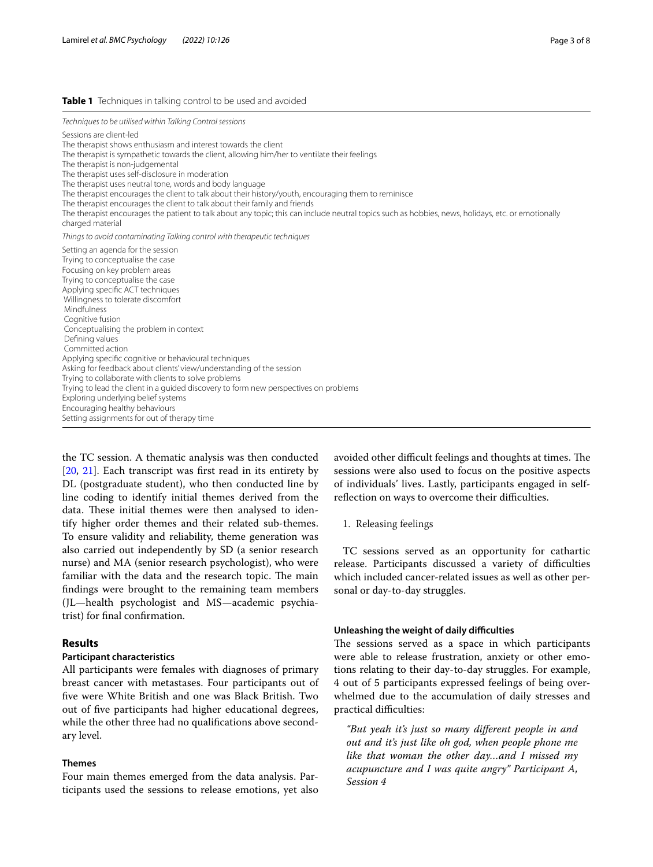#### <span id="page-2-0"></span>**Table 1** Techniques in talking control to be used and avoided

*Techniques to be utilised within Talking Control sessions*

Sessions are client-led

The therapist shows enthusiasm and interest towards the client

The therapist is sympathetic towards the client, allowing him/her to ventilate their feelings

The therapist is non-judgemental

The therapist uses self-disclosure in moderation

The therapist uses neutral tone, words and body language

The therapist encourages the client to talk about their history/youth, encouraging them to reminisce

The therapist encourages the client to talk about their family and friends

The therapist encourages the patient to talk about any topic; this can include neutral topics such as hobbies, news, holidays, etc. or emotionally charged material

*Things to avoid contaminating Talking control with therapeutic techniques*

| Setting an agenda for the session                                                    |
|--------------------------------------------------------------------------------------|
| Trying to conceptualise the case                                                     |
| Focusing on key problem areas                                                        |
| Trying to conceptualise the case                                                     |
| Applying specific ACT techniques                                                     |
| Willingness to tolerate discomfort                                                   |
| Mindfulness                                                                          |
| Cognitive fusion                                                                     |
| Conceptualising the problem in context                                               |
| Defining values                                                                      |
| Committed action                                                                     |
| Applying specific cognitive or behavioural techniques                                |
| Asking for feedback about clients' view/understanding of the session                 |
| Trying to collaborate with clients to solve problems                                 |
| Trying to lead the client in a guided discovery to form new perspectives on problems |
| Exploring underlying belief systems                                                  |
| Encouraging healthy behaviours                                                       |
| Setting assignments for out of therapy time                                          |

the TC session. A thematic analysis was then conducted [[20,](#page-7-19) [21](#page-7-20)]. Each transcript was first read in its entirety by DL (postgraduate student), who then conducted line by line coding to identify initial themes derived from the data. These initial themes were then analysed to identify higher order themes and their related sub-themes. To ensure validity and reliability, theme generation was also carried out independently by SD (a senior research nurse) and MA (senior research psychologist), who were familiar with the data and the research topic. The main fndings were brought to the remaining team members (JL—health psychologist and MS—academic psychiatrist) for fnal confrmation.

## **Results**

# **Participant characteristics**

All participants were females with diagnoses of primary breast cancer with metastases. Four participants out of fve were White British and one was Black British. Two out of fve participants had higher educational degrees, while the other three had no qualifcations above secondary level.

#### **Themes**

Four main themes emerged from the data analysis. Participants used the sessions to release emotions, yet also avoided other difficult feelings and thoughts at times. The sessions were also used to focus on the positive aspects of individuals' lives. Lastly, participants engaged in selfreflection on ways to overcome their difficulties.

#### 1. Releasing feelings

TC sessions served as an opportunity for cathartic release. Participants discussed a variety of difficulties which included cancer-related issues as well as other personal or day-to-day struggles.

#### **Unleashing the weight of daily difculties**

The sessions served as a space in which participants were able to release frustration, anxiety or other emotions relating to their day-to-day struggles. For example, 4 out of 5 participants expressed feelings of being overwhelmed due to the accumulation of daily stresses and practical difficulties:

*"But yeah it's just so many diferent people in and out and it's just like oh god, when people phone me like that woman the other day…and I missed my acupuncture and I was quite angry" Participant A, Session 4*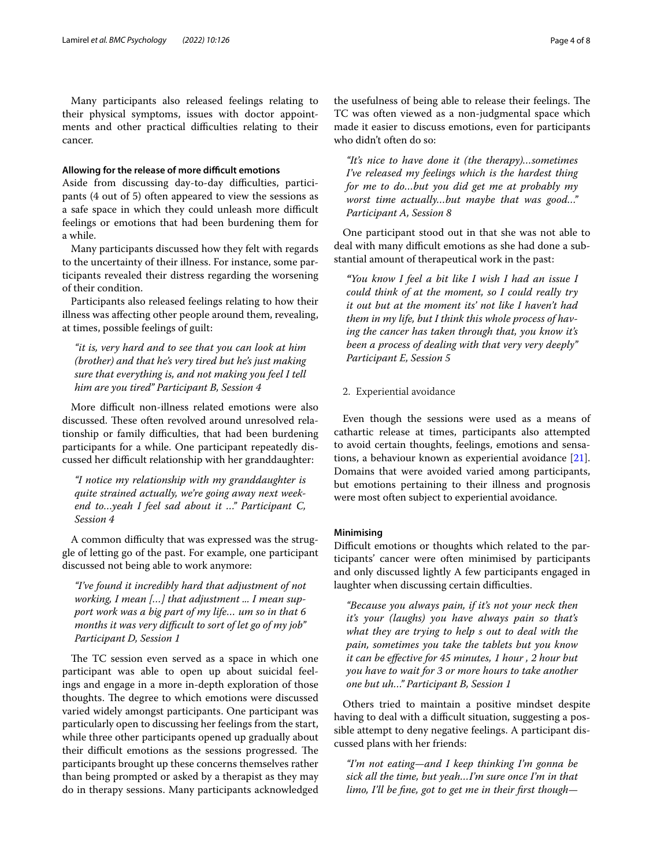Many participants also released feelings relating to their physical symptoms, issues with doctor appointments and other practical difficulties relating to their cancer.

#### **Allowing for the release of more difcult emotions**

Aside from discussing day-to-day difficulties, participants (4 out of 5) often appeared to view the sessions as a safe space in which they could unleash more difficult feelings or emotions that had been burdening them for a while.

Many participants discussed how they felt with regards to the uncertainty of their illness. For instance, some participants revealed their distress regarding the worsening of their condition.

Participants also released feelings relating to how their illness was afecting other people around them, revealing, at times, possible feelings of guilt:

*"it is, very hard and to see that you can look at him (brother) and that he's very tired but he's just making sure that everything is, and not making you feel I tell him are you tired" Participant B, Session 4*

More difficult non-illness related emotions were also discussed. These often revolved around unresolved relationship or family difficulties, that had been burdening participants for a while. One participant repeatedly discussed her difficult relationship with her granddaughter:

*"I notice my relationship with my granddaughter is quite strained actually, we're going away next weekend to…yeah I feel sad about it …" Participant C, Session 4*

A common difficulty that was expressed was the struggle of letting go of the past. For example, one participant discussed not being able to work anymore:

*"I've found it incredibly hard that adjustment of not working, I mean […] that adjustment ... I mean support work was a big part of my life… um so in that 6 months it was very difcult to sort of let go of my job" Participant D, Session 1*

The TC session even served as a space in which one participant was able to open up about suicidal feelings and engage in a more in-depth exploration of those thoughts. The degree to which emotions were discussed varied widely amongst participants. One participant was particularly open to discussing her feelings from the start, while three other participants opened up gradually about their difficult emotions as the sessions progressed. The participants brought up these concerns themselves rather than being prompted or asked by a therapist as they may do in therapy sessions. Many participants acknowledged

the usefulness of being able to release their feelings. The TC was often viewed as a non-judgmental space which made it easier to discuss emotions, even for participants who didn't often do so:

*"It's nice to have done it (the therapy)…sometimes I've released my feelings which is the hardest thing for me to do…but you did get me at probably my worst time actually…but maybe that was good…" Participant A, Session 8*

One participant stood out in that she was not able to deal with many difficult emotions as she had done a substantial amount of therapeutical work in the past:

*"You know I feel a bit like I wish I had an issue I could think of at the moment, so I could really try it out but at the moment its' not like I haven't had them in my life, but I think this whole process of having the cancer has taken through that, you know it's been a process of dealing with that very very deeply" Participant E, Session 5*

#### 2. Experiential avoidance

Even though the sessions were used as a means of cathartic release at times, participants also attempted to avoid certain thoughts, feelings, emotions and sensations, a behaviour known as experiential avoidance [\[21](#page-7-20)]. Domains that were avoided varied among participants, but emotions pertaining to their illness and prognosis were most often subject to experiential avoidance.

# **Minimising**

Difficult emotions or thoughts which related to the participants' cancer were often minimised by participants and only discussed lightly A few participants engaged in laughter when discussing certain difficulties.

*"Because you always pain, if it's not your neck then it's your (laughs) you have always pain so that's what they are trying to help s out to deal with the pain, sometimes you take the tablets but you know it can be efective for 45 minutes, 1 hour , 2 hour but you have to wait for 3 or more hours to take another one but uh…" Participant B, Session 1*

Others tried to maintain a positive mindset despite having to deal with a difficult situation, suggesting a possible attempt to deny negative feelings. A participant discussed plans with her friends:

*"I'm not eating—and I keep thinking I'm gonna be sick all the time, but yeah…I'm sure once I'm in that limo, I'll be fne, got to get me in their frst though—*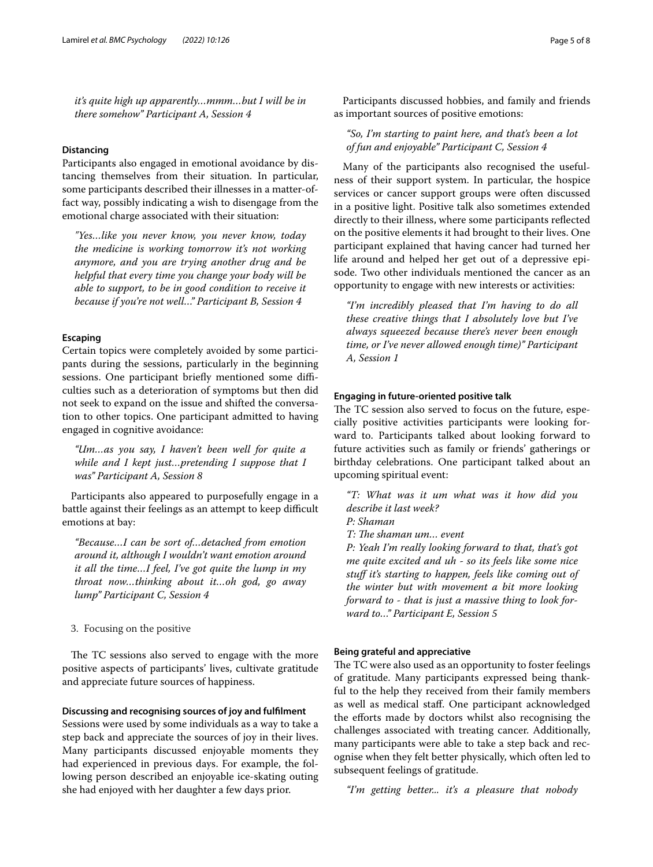*it's quite high up apparently…mmm…but I will be in there somehow" Participant A, Session 4*

# **Distancing**

Participants also engaged in emotional avoidance by distancing themselves from their situation. In particular, some participants described their illnesses in a matter-offact way, possibly indicating a wish to disengage from the emotional charge associated with their situation:

*"Yes…like you never know, you never know, today the medicine is working tomorrow it's not working anymore, and you are trying another drug and be helpful that every time you change your body will be able to support, to be in good condition to receive it because if you're not well…" Participant B, Session 4*

#### **Escaping**

Certain topics were completely avoided by some participants during the sessions, particularly in the beginning sessions. One participant briefly mentioned some difficulties such as a deterioration of symptoms but then did not seek to expand on the issue and shifted the conversation to other topics. One participant admitted to having engaged in cognitive avoidance:

*"Um…as you say, I haven't been well for quite a while and I kept just…pretending I suppose that I was" Participant A, Session 8*

Participants also appeared to purposefully engage in a battle against their feelings as an attempt to keep difficult emotions at bay:

*"Because…I can be sort of…detached from emotion around it, although I wouldn't want emotion around it all the time…I feel, I've got quite the lump in my throat now…thinking about it…oh god, go away lump" Participant C, Session 4*

3. Focusing on the positive

The TC sessions also served to engage with the more positive aspects of participants' lives, cultivate gratitude and appreciate future sources of happiness.

# **Discussing and recognising sources of joy and fulflment**

Sessions were used by some individuals as a way to take a step back and appreciate the sources of joy in their lives. Many participants discussed enjoyable moments they had experienced in previous days. For example, the following person described an enjoyable ice-skating outing she had enjoyed with her daughter a few days prior.

Participants discussed hobbies, and family and friends as important sources of positive emotions:

*"So, I'm starting to paint here, and that's been a lot of fun and enjoyable" Participant C, Session 4*

Many of the participants also recognised the usefulness of their support system. In particular, the hospice services or cancer support groups were often discussed in a positive light. Positive talk also sometimes extended directly to their illness, where some participants refected on the positive elements it had brought to their lives. One participant explained that having cancer had turned her life around and helped her get out of a depressive episode. Two other individuals mentioned the cancer as an opportunity to engage with new interests or activities:

*"I'm incredibly pleased that I'm having to do all these creative things that I absolutely love but I've always squeezed because there's never been enough time, or I've never allowed enough time)" Participant A, Session 1*

#### **Engaging in future‑oriented positive talk**

The TC session also served to focus on the future, especially positive activities participants were looking forward to. Participants talked about looking forward to future activities such as family or friends' gatherings or birthday celebrations. One participant talked about an upcoming spiritual event:

*"T: What was it um what was it how did you describe it last week?*

*P: Shaman*

*T: Te shaman um… event*

*P: Yeah I'm really looking forward to that, that's got me quite excited and uh - so its feels like some nice stuf it's starting to happen, feels like coming out of the winter but with movement a bit more looking forward to - that is just a massive thing to look forward to…" Participant E, Session 5*

#### **Being grateful and appreciative**

The TC were also used as an opportunity to foster feelings of gratitude. Many participants expressed being thankful to the help they received from their family members as well as medical staf. One participant acknowledged the eforts made by doctors whilst also recognising the challenges associated with treating cancer. Additionally, many participants were able to take a step back and recognise when they felt better physically, which often led to subsequent feelings of gratitude.

*"I'm getting better... it's a pleasure that nobody*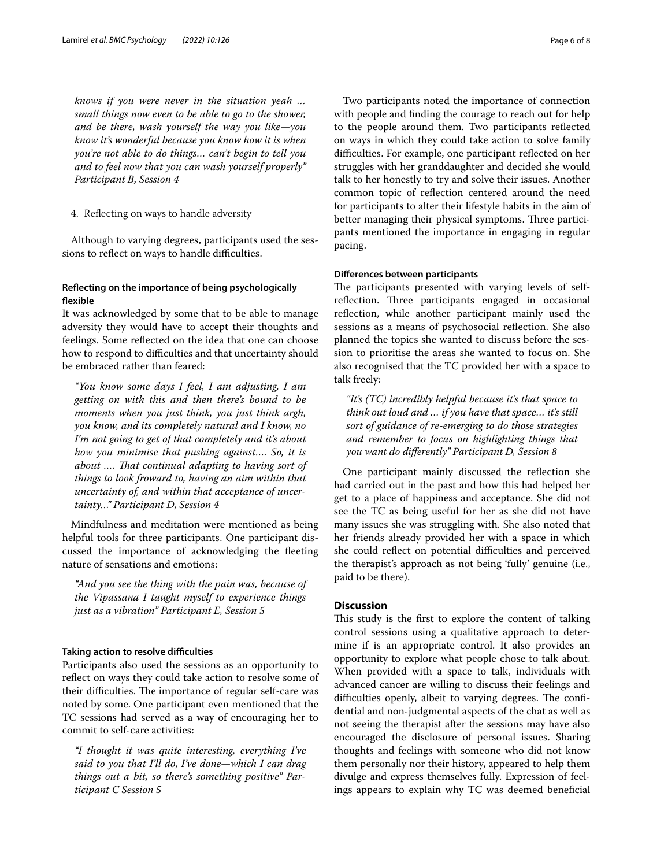*knows if you were never in the situation yeah … small things now even to be able to go to the shower, and be there, wash yourself the way you like—you know it's wonderful because you know how it is when you're not able to do things… can't begin to tell you and to feel now that you can wash yourself properly" Participant B, Session 4*

4. Refecting on ways to handle adversity

Although to varying degrees, participants used the sessions to reflect on ways to handle difficulties.

# **Refecting on the importance of being psychologically fexible**

It was acknowledged by some that to be able to manage adversity they would have to accept their thoughts and feelings. Some refected on the idea that one can choose how to respond to difficulties and that uncertainty should be embraced rather than feared:

*"You know some days I feel, I am adjusting, I am getting on with this and then there's bound to be moments when you just think, you just think argh, you know, and its completely natural and I know, no I'm not going to get of that completely and it's about how you minimise that pushing against…. So, it is about …. Tat continual adapting to having sort of things to look froward to, having an aim within that uncertainty of, and within that acceptance of uncertainty…" Participant D, Session 4*

Mindfulness and meditation were mentioned as being helpful tools for three participants. One participant discussed the importance of acknowledging the feeting nature of sensations and emotions:

*"And you see the thing with the pain was, because of the Vipassana I taught myself to experience things just as a vibration" Participant E, Session 5*

#### **Taking action to resolve difculties**

Participants also used the sessions as an opportunity to reflect on ways they could take action to resolve some of their difficulties. The importance of regular self-care was noted by some. One participant even mentioned that the TC sessions had served as a way of encouraging her to commit to self-care activities:

*"I thought it was quite interesting, everything I've said to you that I'll do, I've done—which I can drag things out a bit, so there's something positive" Participant C Session 5*

Two participants noted the importance of connection with people and fnding the courage to reach out for help to the people around them. Two participants refected on ways in which they could take action to solve family difficulties. For example, one participant reflected on her struggles with her granddaughter and decided she would talk to her honestly to try and solve their issues. Another common topic of refection centered around the need for participants to alter their lifestyle habits in the aim of better managing their physical symptoms. Three participants mentioned the importance in engaging in regular pacing.

# **Diferences between participants**

The participants presented with varying levels of selfreflection. Three participants engaged in occasional refection, while another participant mainly used the sessions as a means of psychosocial refection. She also planned the topics she wanted to discuss before the session to prioritise the areas she wanted to focus on. She also recognised that the TC provided her with a space to talk freely:

*"It's (TC) incredibly helpful because it's that space to think out loud and … if you have that space… it's still sort of guidance of re-emerging to do those strategies and remember to focus on highlighting things that you want do diferently" Participant D, Session 8*

One participant mainly discussed the refection she had carried out in the past and how this had helped her get to a place of happiness and acceptance. She did not see the TC as being useful for her as she did not have many issues she was struggling with. She also noted that her friends already provided her with a space in which she could reflect on potential difficulties and perceived the therapist's approach as not being 'fully' genuine (i.e., paid to be there).

## **Discussion**

This study is the first to explore the content of talking control sessions using a qualitative approach to determine if is an appropriate control. It also provides an opportunity to explore what people chose to talk about. When provided with a space to talk, individuals with advanced cancer are willing to discuss their feelings and difficulties openly, albeit to varying degrees. The confidential and non-judgmental aspects of the chat as well as not seeing the therapist after the sessions may have also encouraged the disclosure of personal issues. Sharing thoughts and feelings with someone who did not know them personally nor their history, appeared to help them divulge and express themselves fully. Expression of feelings appears to explain why TC was deemed benefcial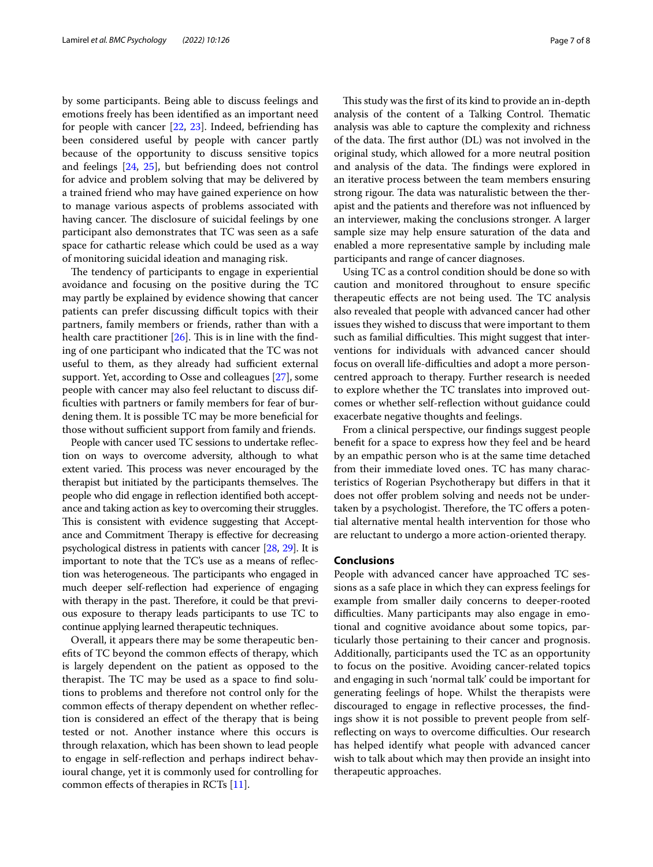by some participants. Being able to discuss feelings and emotions freely has been identifed as an important need for people with cancer [[22,](#page-7-21) [23](#page-7-22)]. Indeed, befriending has been considered useful by people with cancer partly because of the opportunity to discuss sensitive topics and feelings [[24](#page-7-23), [25\]](#page-7-24), but befriending does not control for advice and problem solving that may be delivered by a trained friend who may have gained experience on how to manage various aspects of problems associated with having cancer. The disclosure of suicidal feelings by one participant also demonstrates that TC was seen as a safe space for cathartic release which could be used as a way of monitoring suicidal ideation and managing risk.

The tendency of participants to engage in experiential avoidance and focusing on the positive during the TC may partly be explained by evidence showing that cancer patients can prefer discussing difficult topics with their partners, family members or friends, rather than with a health care practitioner  $[26]$  $[26]$ . This is in line with the finding of one participant who indicated that the TC was not useful to them, as they already had sufficient external support. Yet, according to Osse and colleagues [\[27](#page-7-26)], some people with cancer may also feel reluctant to discuss diffculties with partners or family members for fear of burdening them. It is possible TC may be more benefcial for those without sufficient support from family and friends.

People with cancer used TC sessions to undertake refection on ways to overcome adversity, although to what extent varied. This process was never encouraged by the therapist but initiated by the participants themselves. The people who did engage in refection identifed both acceptance and taking action as key to overcoming their struggles. This is consistent with evidence suggesting that Acceptance and Commitment Therapy is effective for decreasing psychological distress in patients with cancer [\[28,](#page-7-27) [29](#page-7-28)]. It is important to note that the TC's use as a means of refection was heterogeneous. The participants who engaged in much deeper self-reflection had experience of engaging with therapy in the past. Therefore, it could be that previous exposure to therapy leads participants to use TC to continue applying learned therapeutic techniques.

Overall, it appears there may be some therapeutic benefts of TC beyond the common efects of therapy, which is largely dependent on the patient as opposed to the therapist. The TC may be used as a space to find solutions to problems and therefore not control only for the common efects of therapy dependent on whether refection is considered an efect of the therapy that is being tested or not. Another instance where this occurs is through relaxation, which has been shown to lead people to engage in self-refection and perhaps indirect behavioural change, yet it is commonly used for controlling for common efects of therapies in RCTs [[11\]](#page-7-10).

This study was the first of its kind to provide an in-depth analysis of the content of a Talking Control. Thematic analysis was able to capture the complexity and richness of the data. The first author (DL) was not involved in the original study, which allowed for a more neutral position and analysis of the data. The findings were explored in an iterative process between the team members ensuring strong rigour. The data was naturalistic between the therapist and the patients and therefore was not infuenced by an interviewer, making the conclusions stronger. A larger sample size may help ensure saturation of the data and enabled a more representative sample by including male participants and range of cancer diagnoses.

Using TC as a control condition should be done so with caution and monitored throughout to ensure specifc therapeutic effects are not being used. The TC analysis also revealed that people with advanced cancer had other issues they wished to discuss that were important to them such as familial difficulties. This might suggest that interventions for individuals with advanced cancer should focus on overall life-difficulties and adopt a more personcentred approach to therapy. Further research is needed to explore whether the TC translates into improved outcomes or whether self-refection without guidance could exacerbate negative thoughts and feelings.

From a clinical perspective, our fndings suggest people beneft for a space to express how they feel and be heard by an empathic person who is at the same time detached from their immediate loved ones. TC has many characteristics of Rogerian Psychotherapy but difers in that it does not offer problem solving and needs not be undertaken by a psychologist. Therefore, the TC offers a potential alternative mental health intervention for those who are reluctant to undergo a more action-oriented therapy.

## **Conclusions**

People with advanced cancer have approached TC sessions as a safe place in which they can express feelings for example from smaller daily concerns to deeper-rooted difficulties. Many participants may also engage in emotional and cognitive avoidance about some topics, particularly those pertaining to their cancer and prognosis. Additionally, participants used the TC as an opportunity to focus on the positive. Avoiding cancer-related topics and engaging in such 'normal talk' could be important for generating feelings of hope. Whilst the therapists were discouraged to engage in refective processes, the fndings show it is not possible to prevent people from selfreflecting on ways to overcome difficulties. Our research has helped identify what people with advanced cancer wish to talk about which may then provide an insight into therapeutic approaches.